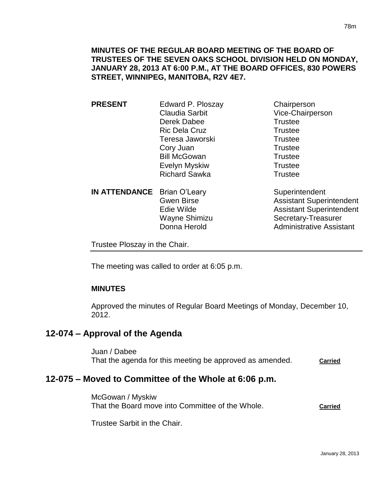**PRESENT** Edward P. Ploszay Chairperson Claudia Sarbit Vice-Chairperson Derek Dabee Trustee Ric Dela Cruz **Trustee** Teresa Jaworski **Trustee** Cory Juan Trustee Bill McGowan Trustee Evelyn Myskiw **Trustee** Richard Sawka Trustee **IN ATTENDANCE** Brian O'Leary Superintendent

Gwen Birse **Assistant Superintendent** Edie Wilde **Assistant Superintendent** Wayne Shimizu Secretary-Treasurer Donna Herold **Administrative Assistant** 

Trustee Ploszay in the Chair.

The meeting was called to order at 6:05 p.m.

### **MINUTES**

Approved the minutes of Regular Board Meetings of Monday, December 10, 2012.

## **12-074 – Approval of the Agenda**

Juan / Dabee That the agenda for this meeting be approved as amended. **Carried**

# **12-075 – Moved to Committee of the Whole at 6:06 p.m.**

McGowan / Myskiw That the Board move into Committee of the Whole. **Carried**

Trustee Sarbit in the Chair.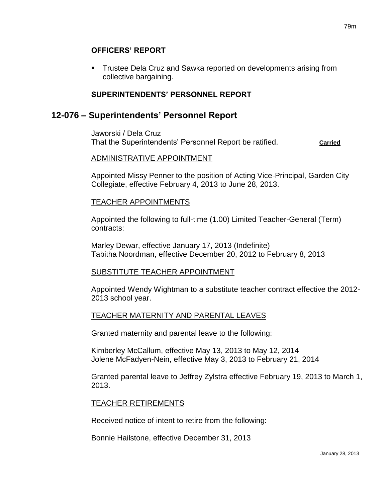#### **OFFICERS' REPORT**

 Trustee Dela Cruz and Sawka reported on developments arising from collective bargaining.

### **SUPERINTENDENTS' PERSONNEL REPORT**

## **12-076 – Superintendents' Personnel Report**

Jaworski / Dela Cruz That the Superintendents' Personnel Report be ratified. **Carried**

#### ADMINISTRATIVE APPOINTMENT

Appointed Missy Penner to the position of Acting Vice-Principal, Garden City Collegiate, effective February 4, 2013 to June 28, 2013.

#### TEACHER APPOINTMENTS

Appointed the following to full-time (1.00) Limited Teacher-General (Term) contracts:

Marley Dewar, effective January 17, 2013 (Indefinite) Tabitha Noordman, effective December 20, 2012 to February 8, 2013

### SUBSTITUTE TEACHER APPOINTMENT

Appointed Wendy Wightman to a substitute teacher contract effective the 2012- 2013 school year.

### TEACHER MATERNITY AND PARENTAL LEAVES

Granted maternity and parental leave to the following:

Kimberley McCallum, effective May 13, 2013 to May 12, 2014 Jolene McFadyen-Nein, effective May 3, 2013 to February 21, 2014

Granted parental leave to Jeffrey Zylstra effective February 19, 2013 to March 1, 2013.

#### TEACHER RETIREMENTS

Received notice of intent to retire from the following:

Bonnie Hailstone, effective December 31, 2013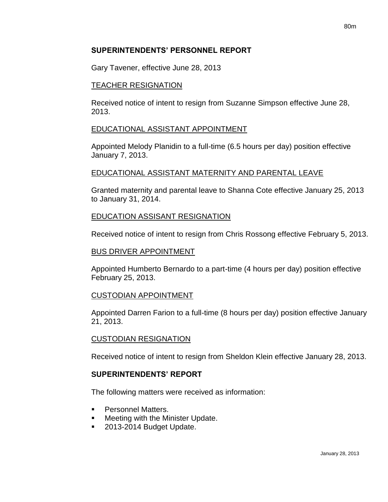### **SUPERINTENDENTS' PERSONNEL REPORT**

Gary Tavener, effective June 28, 2013

#### TEACHER RESIGNATION

Received notice of intent to resign from Suzanne Simpson effective June 28, 2013.

#### EDUCATIONAL ASSISTANT APPOINTMENT

Appointed Melody Planidin to a full-time (6.5 hours per day) position effective January 7, 2013.

### EDUCATIONAL ASSISTANT MATERNITY AND PARENTAL LEAVE

Granted maternity and parental leave to Shanna Cote effective January 25, 2013 to January 31, 2014.

### EDUCATION ASSISANT RESIGNATION

Received notice of intent to resign from Chris Rossong effective February 5, 2013.

#### BUS DRIVER APPOINTMENT

Appointed Humberto Bernardo to a part-time (4 hours per day) position effective February 25, 2013.

#### CUSTODIAN APPOINTMENT

Appointed Darren Farion to a full-time (8 hours per day) position effective January 21, 2013.

#### CUSTODIAN RESIGNATION

Received notice of intent to resign from Sheldon Klein effective January 28, 2013.

#### **SUPERINTENDENTS' REPORT**

The following matters were received as information:

- Personnel Matters.
- Meeting with the Minister Update.
- 2013-2014 Budget Update.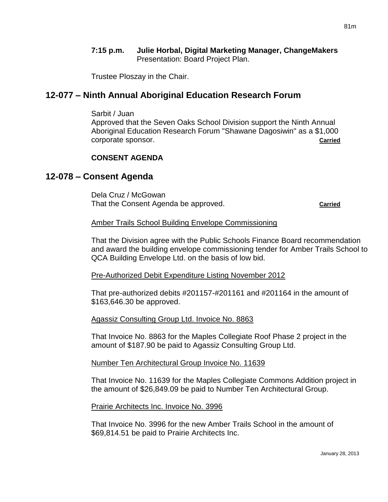#### **7:15 p.m. Julie Horbal, Digital Marketing Manager, ChangeMakers** Presentation: Board Project Plan.

Trustee Ploszay in the Chair.

### **12-077 – Ninth Annual Aboriginal Education Research Forum**

Sarbit / Juan

Approved that the Seven Oaks School Division support the Ninth Annual Aboriginal Education Research Forum "Shawane Dagosiwin" as a \$1,000 corporate sponsor. **Carried**

#### **CONSENT AGENDA**

### **12-078 – Consent Agenda**

Dela Cruz / McGowan That the Consent Agenda be approved. **Carried**

#### Amber Trails School Building Envelope Commissioning

That the Division agree with the Public Schools Finance Board recommendation and award the building envelope commissioning tender for Amber Trails School to QCA Building Envelope Ltd. on the basis of low bid.

Pre-Authorized Debit Expenditure Listing November 2012

That pre-authorized debits #201157-#201161 and #201164 in the amount of \$163,646.30 be approved.

#### Agassiz Consulting Group Ltd. Invoice No. 8863

That Invoice No. 8863 for the Maples Collegiate Roof Phase 2 project in the amount of \$187.90 be paid to Agassiz Consulting Group Ltd.

#### Number Ten Architectural Group Invoice No. 11639

That Invoice No. 11639 for the Maples Collegiate Commons Addition project in the amount of \$26,849.09 be paid to Number Ten Architectural Group.

#### Prairie Architects Inc. Invoice No. 3996

That Invoice No. 3996 for the new Amber Trails School in the amount of \$69,814.51 be paid to Prairie Architects Inc.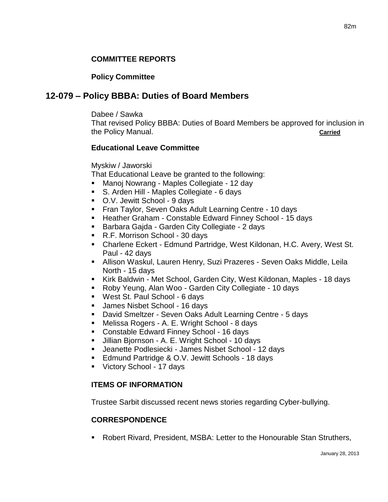### **COMMITTEE REPORTS**

### **Policy Committee**

## **12-079 – Policy BBBA: Duties of Board Members**

Dabee / Sawka

That revised Policy BBBA: Duties of Board Members be approved for inclusion in the Policy Manual. **Carried**

#### **Educational Leave Committee**

Myskiw / Jaworski

That Educational Leave be granted to the following:

- Manoj Nowrang Maples Collegiate 12 day
- S. Arden Hill Maples Collegiate 6 days
- O.V. Jewitt School 9 days
- **Fran Taylor, Seven Oaks Adult Learning Centre 10 days**
- Heather Graham Constable Edward Finney School 15 days
- Barbara Gajda Garden City Collegiate 2 days
- R.F. Morrison School 30 days
- Charlene Eckert Edmund Partridge, West Kildonan, H.C. Avery, West St. Paul - 42 days
- Allison Waskul, Lauren Henry, Suzi Prazeres Seven Oaks Middle, Leila North - 15 days
- Kirk Baldwin Met School, Garden City, West Kildonan, Maples 18 days
- Roby Yeung, Alan Woo Garden City Collegiate 10 days
- West St. Paul School 6 days
- James Nisbet School 16 days
- David Smeltzer Seven Oaks Adult Learning Centre 5 days
- Melissa Rogers A. E. Wright School 8 days
- Constable Edward Finney School 16 days
- Jillian Bjornson A. E. Wright School 10 days
- Jeanette Podlesiecki James Nisbet School 12 days
- Edmund Partridge & O.V. Jewitt Schools 18 days
- Victory School 17 days

### **ITEMS OF INFORMATION**

Trustee Sarbit discussed recent news stories regarding Cyber-bullying.

### **CORRESPONDENCE**

Robert Rivard, President, MSBA: Letter to the Honourable Stan Struthers,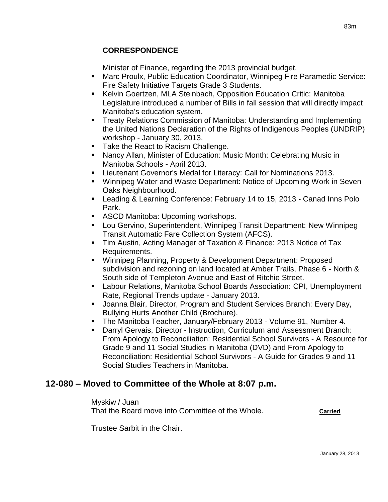### **CORRESPONDENCE**

Minister of Finance, regarding the 2013 provincial budget.

- Marc Proulx, Public Education Coordinator, Winnipeg Fire Paramedic Service: Fire Safety Initiative Targets Grade 3 Students.
- Kelvin Goertzen, MLA Steinbach, Opposition Education Critic: Manitoba Legislature introduced a number of Bills in fall session that will directly impact Manitoba's education system.
- Treaty Relations Commission of Manitoba: Understanding and Implementing the United Nations Declaration of the Rights of Indigenous Peoples (UNDRIP) workshop - January 30, 2013.
- Take the React to Racism Challenge.
- Nancy Allan, Minister of Education: Music Month: Celebrating Music in Manitoba Schools - April 2013.
- Lieutenant Governor's Medal for Literacy: Call for Nominations 2013.
- Winnipeg Water and Waste Department: Notice of Upcoming Work in Seven Oaks Neighbourhood.
- Leading & Learning Conference: February 14 to 15, 2013 Canad Inns Polo Park.
- **ASCD Manitoba: Upcoming workshops.**
- Lou Gervino, Superintendent, Winnipeg Transit Department: New Winnipeg Transit Automatic Fare Collection System (AFCS).
- Tim Austin, Acting Manager of Taxation & Finance: 2013 Notice of Tax Requirements.
- Winnipeg Planning, Property & Development Department: Proposed subdivision and rezoning on land located at Amber Trails, Phase 6 - North & South side of Templeton Avenue and East of Ritchie Street.
- Labour Relations, Manitoba School Boards Association: CPI, Unemployment Rate, Regional Trends update - January 2013.
- Joanna Blair, Director, Program and Student Services Branch: Every Day, Bullying Hurts Another Child (Brochure).
- The Manitoba Teacher, January/February 2013 Volume 91, Number 4.
- Darryl Gervais, Director Instruction, Curriculum and Assessment Branch: From Apology to Reconciliation: Residential School Survivors - A Resource for Grade 9 and 11 Social Studies in Manitoba (DVD) and From Apology to Reconciliation: Residential School Survivors - A Guide for Grades 9 and 11 Social Studies Teachers in Manitoba.

## **12-080 – Moved to Committee of the Whole at 8:07 p.m.**

Myskiw / Juan That the Board move into Committee of the Whole. **Carried**

Trustee Sarbit in the Chair.